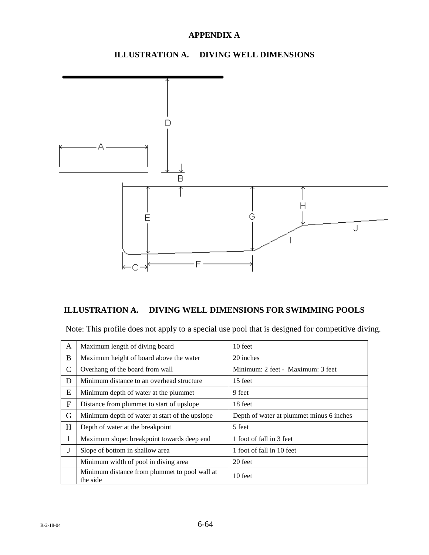### **ILLUSTRATION A. DIVING WELL DIMENSIONS**



### **ILLUSTRATION A. DIVING WELL DIMENSIONS FOR SWIMMING POOLS**

Note: This profile does not apply to a special use pool that is designed for competitive diving.

| A             | Maximum length of diving board                            | 10 feet                                  |  |  |
|---------------|-----------------------------------------------------------|------------------------------------------|--|--|
| B             | Maximum height of board above the water                   | 20 inches                                |  |  |
| $\mathcal{C}$ | Overhang of the board from wall                           | Minimum: 2 feet - Maximum: 3 feet        |  |  |
| D             | Minimum distance to an overhead structure                 | 15 feet                                  |  |  |
| E             | Minimum depth of water at the plummet                     | 9 feet                                   |  |  |
| F             | Distance from plummet to start of upslope                 | 18 feet                                  |  |  |
| G             | Minimum depth of water at start of the upslope            | Depth of water at plummet minus 6 inches |  |  |
| H             | Depth of water at the breakpoint                          | 5 feet                                   |  |  |
| I             | Maximum slope: breakpoint towards deep end                | 1 foot of fall in 3 feet                 |  |  |
| J             | Slope of bottom in shallow area                           | 1 foot of fall in 10 feet                |  |  |
|               | Minimum width of pool in diving area                      | 20 feet                                  |  |  |
|               | Minimum distance from plummet to pool wall at<br>the side | 10 feet                                  |  |  |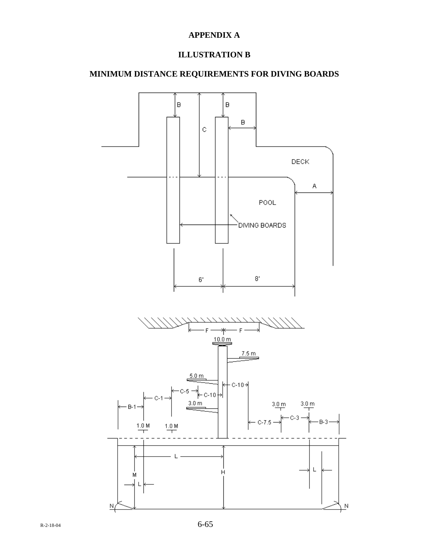## **ILLUSTRATION B**

### **MINIMUM DISTANCE REQUIREMENTS FOR DIVING BOARDS**

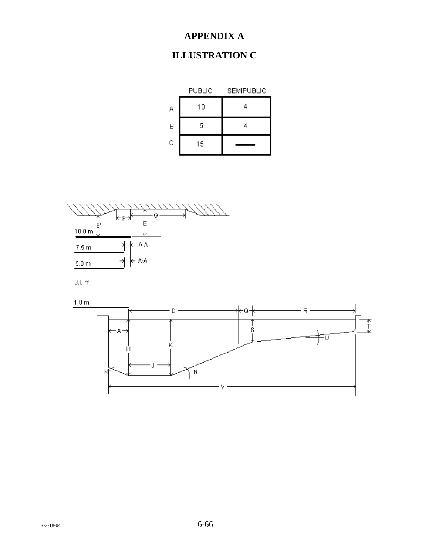# **ILLUSTRATION C**







 $1.0 m$